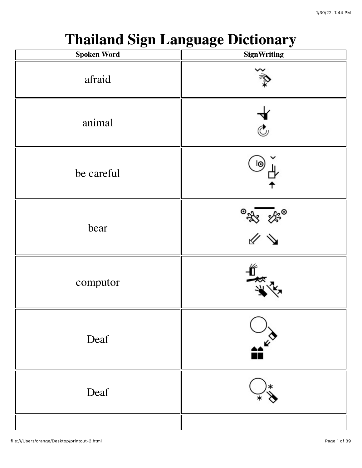## **Thailand Sign Language Dictionary**

| <b>Spoken Word</b> | <b>SignWriting</b> |
|--------------------|--------------------|
| afraid             |                    |
| animal             | ।<br>द             |
| be careful         | ١o                 |
| bear               | ◎<br>※ ※◎<br>《 》   |
| computor           | L.,                |
| Deaf               | $\mathbf{r}$       |
| Deaf               |                    |
|                    |                    |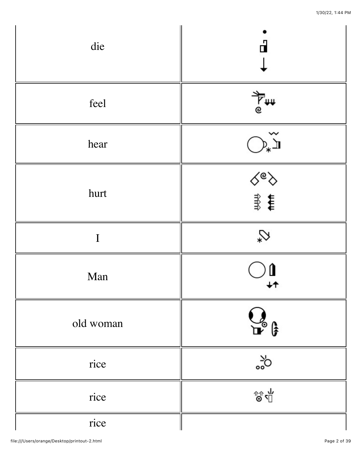| die         | ď              |
|-------------|----------------|
| feel        |                |
| hear        | 》九<br>九        |
| hurt        | √®ह<br>ना      |
| $\mathbf I$ | $\heartsuit$   |
| Man         | Û<br>↓↑        |
| old woman   | $Q_{\epsilon}$ |
| rice        | ిం             |
| rice        | ชิฃ            |
| rice        |                |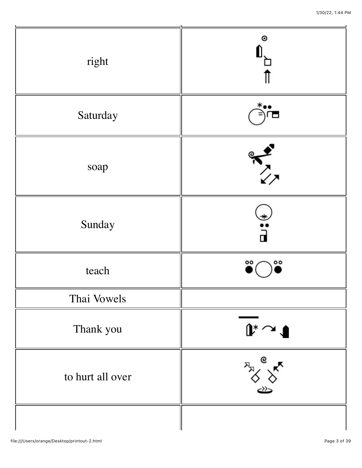|                  | $\circ$                        |
|------------------|--------------------------------|
| right            |                                |
| Saturday         |                                |
| soap             | $\sum_{\ell \neq 0}$           |
| Sunday           | ◆・・・■                          |
| teach            | $\overline{\phantom{a}}$<br>oo |
| Thai Vowels      |                                |
| Thank you        | $\mathbf{r} \sim \mathbf{r}$   |
| to hurt all over | e                              |
|                  |                                |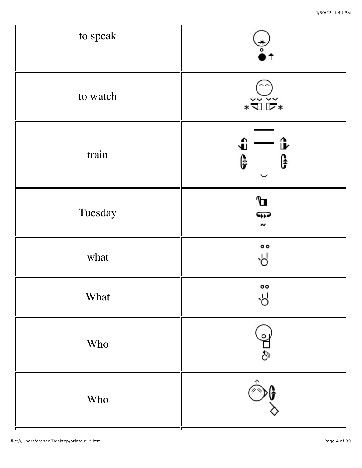| to speak | $\frac{1}{\epsilon}$<br>$\uparrow$                                                                                                                                                                                                                                                                                                                                    |
|----------|-----------------------------------------------------------------------------------------------------------------------------------------------------------------------------------------------------------------------------------------------------------------------------------------------------------------------------------------------------------------------|
| to watch | $\begin{picture}(20,5) \put(0,0){\vector(0,1){180}} \put(15,0){\vector(0,1){180}} \put(15,0){\vector(0,1){180}} \put(15,0){\vector(0,1){180}} \put(15,0){\vector(0,1){180}} \put(15,0){\vector(0,1){180}} \put(15,0){\vector(0,1){180}} \put(15,0){\vector(0,1){180}} \put(15,0){\vector(0,1){180}} \put(15,0){\vector(0,1){180}} \put(15,0){\vector(0,1){180}} \put$ |
| train    | û<br>û<br>G<br>G                                                                                                                                                                                                                                                                                                                                                      |
| Tuesday  | Д<br>F<br>$\sim$                                                                                                                                                                                                                                                                                                                                                      |
| what     | $^{\circ}$<br>Υp                                                                                                                                                                                                                                                                                                                                                      |
| What     | oo<br>Υp                                                                                                                                                                                                                                                                                                                                                              |
| Who      | $\circ$<br>$\overline{\mathbb{P}}$                                                                                                                                                                                                                                                                                                                                    |
| Who      |                                                                                                                                                                                                                                                                                                                                                                       |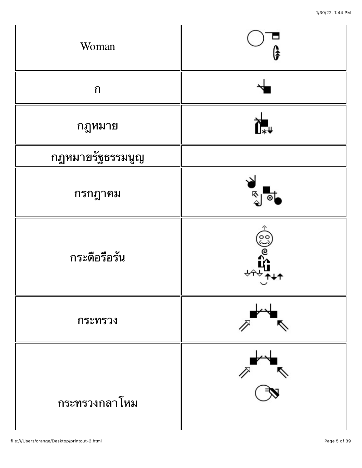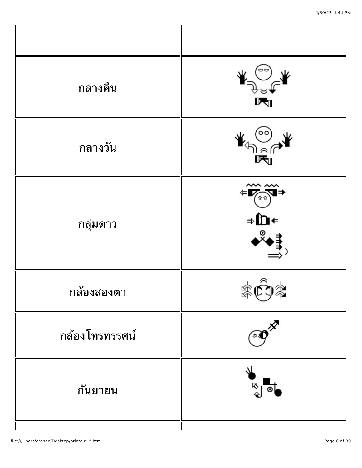| กลางคืน          | ण्ज                                                                                                                                                                                                                                                                                                                                                            |
|------------------|----------------------------------------------------------------------------------------------------------------------------------------------------------------------------------------------------------------------------------------------------------------------------------------------------------------------------------------------------------------|
| ึกลางวัน         | $\circ \circ$ ,<br>$\begin{picture}(120,115) \put(0,0){\line(1,0){155}} \put(15,0){\line(1,0){155}} \put(15,0){\line(1,0){155}} \put(15,0){\line(1,0){155}} \put(15,0){\line(1,0){155}} \put(15,0){\line(1,0){155}} \put(15,0){\line(1,0){155}} \put(15,0){\line(1,0){155}} \put(15,0){\line(1,0){155}} \put(15,0){\line(1,0){155}} \put(15,0){\line(1,0){155$ |
| กลุ่มดาว         | $\sim$<br>$\Leftrightarrow \overline{\text{Var}}$<br>⇒∩←<br>◆°                                                                                                                                                                                                                                                                                                 |
| กล้องสองตา       |                                                                                                                                                                                                                                                                                                                                                                |
| ึกล้อง โทรทรรศน์ |                                                                                                                                                                                                                                                                                                                                                                |
| กันยายน          | —<br>হ                                                                                                                                                                                                                                                                                                                                                         |
|                  |                                                                                                                                                                                                                                                                                                                                                                |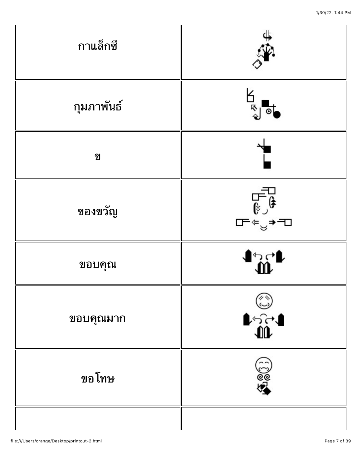| กาแล็กซี                    | €\$                                      |
|-----------------------------|------------------------------------------|
| กุมภาพันธ์                  | ā                                        |
| $\boldsymbol{\mathfrak{A}}$ |                                          |
| ของขวัญ                     | ┙┪╌╗<br>┎╤╺ <sup>╘</sup> ╕┷              |
| ขอบคุณ                      | $\mathfrak{h}_{\mathfrak{X}}\rightarrow$ |
| ขอบคุณมาก                   | ।<br>।<br>10                             |
| ขอโทษ                       | $\mathfrak{F}^{\circledcirc}$            |
|                             |                                          |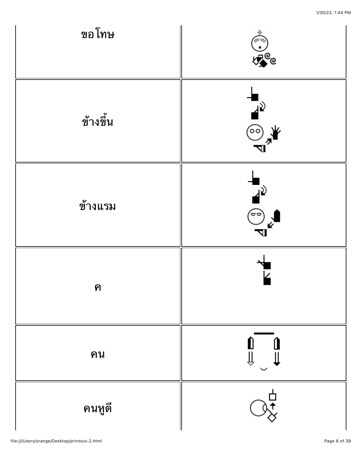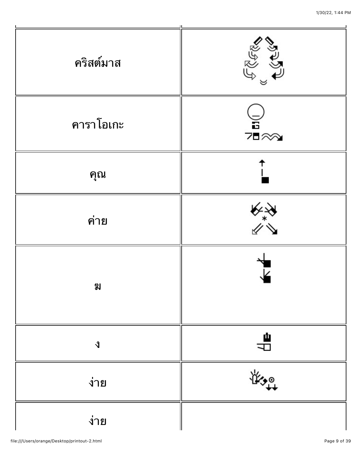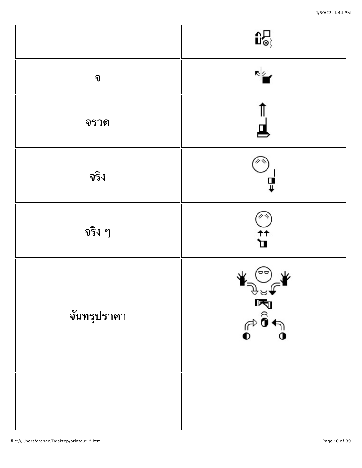|             | $\mathbf{D}$                                   |
|-------------|------------------------------------------------|
| จ           | ৻৶                                             |
| จรวด        |                                                |
| จริง        | 딮                                              |
| จริง ๆ      | $\begin{matrix} 1 \\ 1 \\ 2 \end{matrix}$      |
| จันทรุปราคา | ⊕<br>ान्द्र<br>क्रिक<br>$\widehat{\mathbf{e}}$ |
|             |                                                |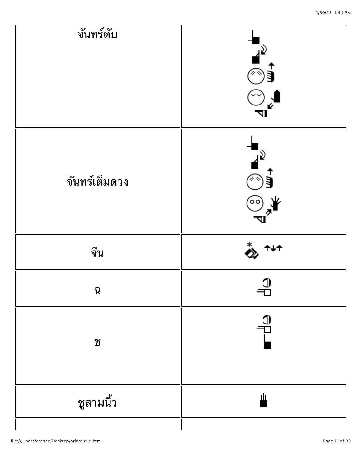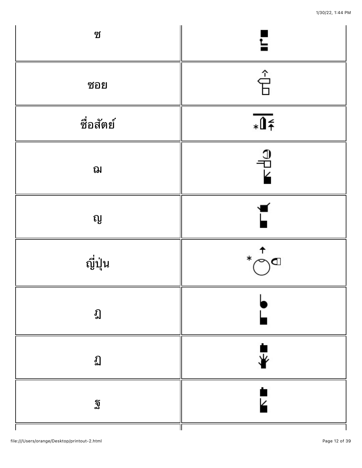| ช         | Ε                                                               |
|-----------|-----------------------------------------------------------------|
| ซอย       | Ê                                                               |
| ชื่อสัตย์ | $\sqrt{15}$                                                     |
| ฌ         | $\frac{1}{\sqrt{2}}$                                            |
| ល្ង       |                                                                 |
| ญี่ปุ่น   | $\begin{array}{c}\n\uparrow \\ \uparrow\n\end{array}$<br>$\ast$ |
| ฏ         |                                                                 |
| ฏ         |                                                                 |
| ฐิ        |                                                                 |
|           | Ш                                                               |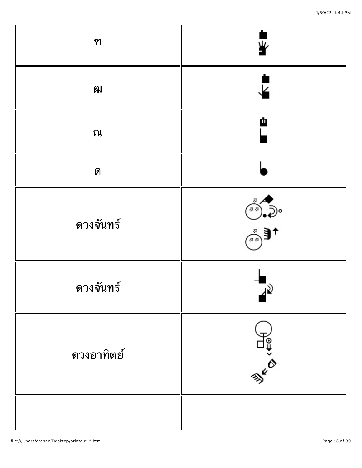| ฑ          | ഴ്                   |
|------------|----------------------|
| 刚          | ⊽                    |
| ณ          | Ф                    |
| ิด         |                      |
| ดวงจันทร์  | $\overrightarrow{a}$ |
| ดวงจันทร์  | ⊿≷                   |
| ดวงอาทิตย์ | <b>BIKKO</b>         |
|            |                      |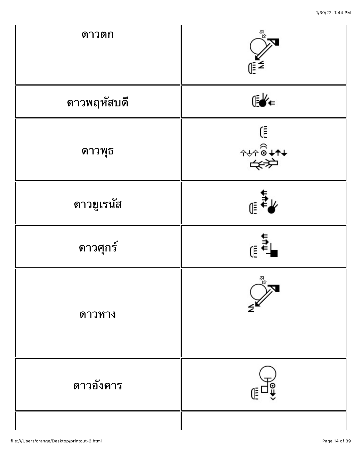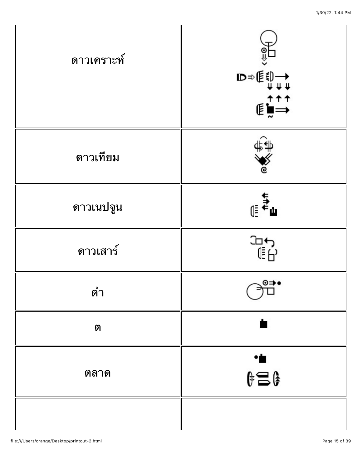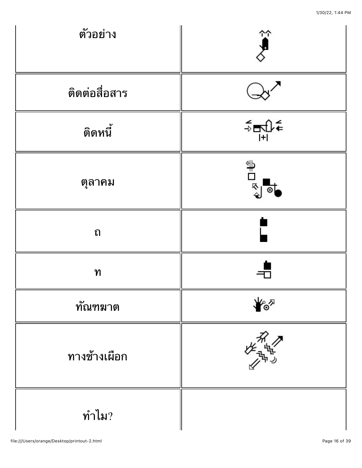| ตัวอย่าง         | $\widetilde{\mathbf{y}}$                                       |
|------------------|----------------------------------------------------------------|
| ติดต่อสื่อสาร    |                                                                |
| ติดหนี้          | $\begin{array}{c}\n\prec \\ \uparrow \\ \uparrow\n\end{array}$ |
| ตุลาคม           | $\mathbb{E}^{\mathbb{Z}^{\mathbb{Z}}}$                         |
| ถ                |                                                                |
| ุท               |                                                                |
| ทัณฑมาต          | డి                                                             |
| ทางช้างเผือก     | <sub>′ጌ</sub> ዄ                                                |
| $\n  n̂$ ำไม $?$ |                                                                |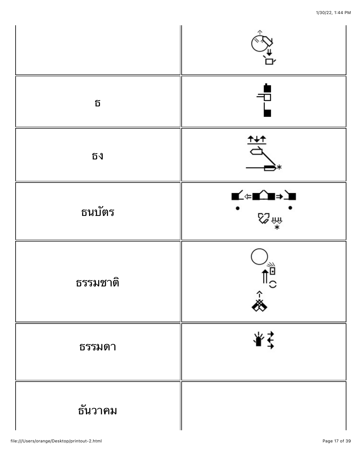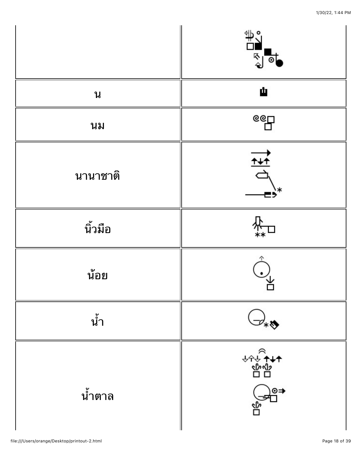

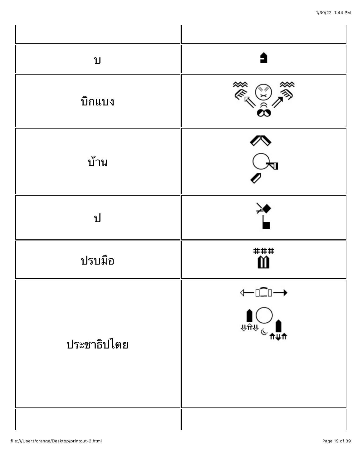| บ           | 5                                                                                                                                                                                                                                                                                                                                                                 |
|-------------|-------------------------------------------------------------------------------------------------------------------------------------------------------------------------------------------------------------------------------------------------------------------------------------------------------------------------------------------------------------------|
| บิกแบง      | ER OF                                                                                                                                                                                                                                                                                                                                                             |
| บ้าน        | $\sum_{i=1}^{\infty}$                                                                                                                                                                                                                                                                                                                                             |
| ป           |                                                                                                                                                                                                                                                                                                                                                                   |
| ปรบมือ      | ###<br>$\ddot{\mathbf{m}}$                                                                                                                                                                                                                                                                                                                                        |
| ประชาธิปไตย | ←□ニ□→<br>⇽<br>$\begin{picture}(180,10) \put(0,0){\line(1,0){10}} \put(10,0){\line(1,0){10}} \put(10,0){\line(1,0){10}} \put(10,0){\line(1,0){10}} \put(10,0){\line(1,0){10}} \put(10,0){\line(1,0){10}} \put(10,0){\line(1,0){10}} \put(10,0){\line(1,0){10}} \put(10,0){\line(1,0){10}} \put(10,0){\line(1,0){10}} \put(10,0){\line(1,0){10}} \put(10,0){\line($ |
|             |                                                                                                                                                                                                                                                                                                                                                                   |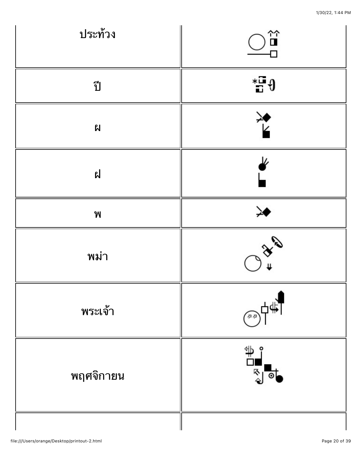| ประท้วง                   | 台口☆                                                                                                                                                                                                                                                                                                                                          |
|---------------------------|----------------------------------------------------------------------------------------------------------------------------------------------------------------------------------------------------------------------------------------------------------------------------------------------------------------------------------------------|
| ปี                        | $\overline{\phantom{a}}^*$ + $\overline{\phantom{a}}$                                                                                                                                                                                                                                                                                        |
| ฝ                         |                                                                                                                                                                                                                                                                                                                                              |
| ฝ                         | ₽                                                                                                                                                                                                                                                                                                                                            |
| $\boldsymbol{\mathsf{M}}$ | ≫                                                                                                                                                                                                                                                                                                                                            |
| พม่า                      | <b>BEA</b>                                                                                                                                                                                                                                                                                                                                   |
| พระเจ้า                   | ן∰ו<br>$\widehat{A}$                                                                                                                                                                                                                                                                                                                         |
| พฤศจิกายน                 | $\begin{picture}(120,15) \put(0,0){\line(1,0){155}} \put(15,0){\line(1,0){155}} \put(15,0){\line(1,0){155}} \put(15,0){\line(1,0){155}} \put(15,0){\line(1,0){155}} \put(15,0){\line(1,0){155}} \put(15,0){\line(1,0){155}} \put(15,0){\line(1,0){155}} \put(15,0){\line(1,0){155}} \put(15,0){\line(1,0){155}} \put(15,0){\line(1,0){155}}$ |
|                           |                                                                                                                                                                                                                                                                                                                                              |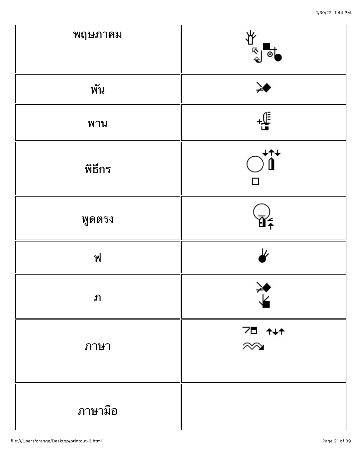| พฤษภาคม | র<br>△<br>⊙             |
|---------|-------------------------|
| พัน     | ≫                       |
| พาน     | $\frac{\mathbb{C}}{2}$  |
| พิธีกร  | 14<br>П                 |
| พูดตรง  |                         |
| ฟ       | J,                      |
| ภ       | 乊                       |
| ภาษา    | 7∎ <del>१∤१</del><br>⊗⊗ |
| ภาษามือ |                         |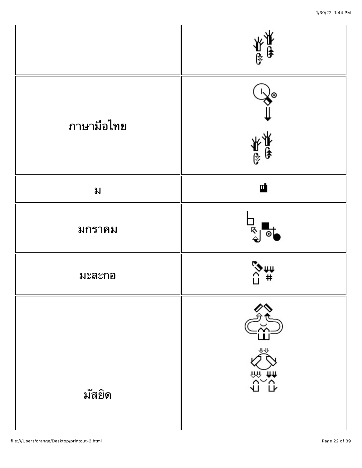







ม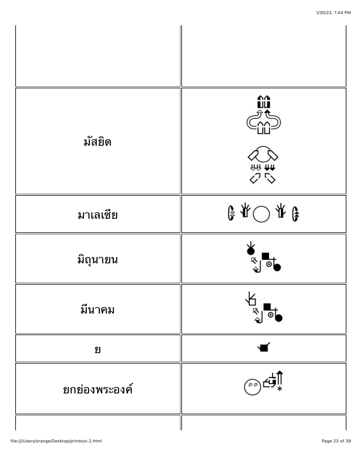| มัสยิด        | ûû<br>心神人                                                                                                                                                                                                                                                                                                                                           |
|---------------|-----------------------------------------------------------------------------------------------------------------------------------------------------------------------------------------------------------------------------------------------------------------------------------------------------------------------------------------------------|
| มาเลเซีย      | $\begin{picture}(20,5) \put(0,0){\line(1,0){10}} \put(15,0){\line(1,0){10}} \put(15,0){\line(1,0){10}} \put(15,0){\line(1,0){10}} \put(15,0){\line(1,0){10}} \put(15,0){\line(1,0){10}} \put(15,0){\line(1,0){10}} \put(15,0){\line(1,0){10}} \put(15,0){\line(1,0){10}} \put(15,0){\line(1,0){10}} \put(15,0){\line(1,0){10}} \put(15,0){\line(1,$ |
| มิถุนายน      | ᅑ                                                                                                                                                                                                                                                                                                                                                   |
| มีนาคม        | 尽                                                                                                                                                                                                                                                                                                                                                   |
| ଧ୍ୟ           |                                                                                                                                                                                                                                                                                                                                                     |
| ยกย่องพระองค์ |                                                                                                                                                                                                                                                                                                                                                     |
|               |                                                                                                                                                                                                                                                                                                                                                     |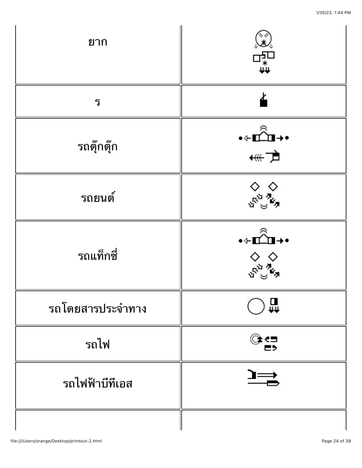| ยาก              | †<br>†⊭<br>∏                                                                                                                                                                                                                                                                                                                                        |
|------------------|-----------------------------------------------------------------------------------------------------------------------------------------------------------------------------------------------------------------------------------------------------------------------------------------------------------------------------------------------------|
| ร                |                                                                                                                                                                                                                                                                                                                                                     |
| รถตุ๊กตุ๊ก       | ∙←∎≏ैेेेेेेेेे →∙<br>←∰                                                                                                                                                                                                                                                                                                                             |
| รถยนต์           |                                                                                                                                                                                                                                                                                                                                                     |
| รถแท็กซี่        | $\begin{picture}(20,20) \put(0,0){\line(1,0){10}} \put(15,0){\line(1,0){10}} \put(15,0){\line(1,0){10}} \put(15,0){\line(1,0){10}} \put(15,0){\line(1,0){10}} \put(15,0){\line(1,0){10}} \put(15,0){\line(1,0){10}} \put(15,0){\line(1,0){10}} \put(15,0){\line(1,0){10}} \put(15,0){\line(1,0){10}} \put(15,0){\line(1,0){10}} \put(15,0){\line(1$ |
| รถโดยสารประจำทาง | ∰                                                                                                                                                                                                                                                                                                                                                   |
| รถไฟ             | े≌                                                                                                                                                                                                                                                                                                                                                  |
| รถไฟฟ้าบีทีเอส   |                                                                                                                                                                                                                                                                                                                                                     |
|                  |                                                                                                                                                                                                                                                                                                                                                     |

 $\vert$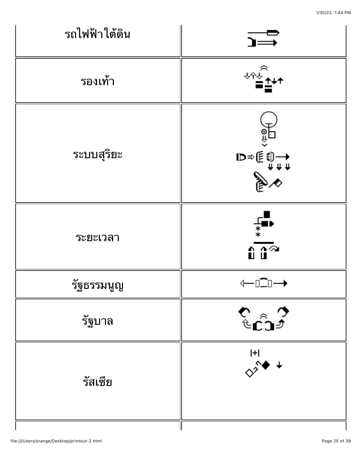1/30/22, 1:44 PM

| รถไฟฟ้าใต้ดิน | $\rightarrow$                                                                                                                                                                                                                                                                                                                                                                                                                                                                                                                                                                                                          |
|---------------|------------------------------------------------------------------------------------------------------------------------------------------------------------------------------------------------------------------------------------------------------------------------------------------------------------------------------------------------------------------------------------------------------------------------------------------------------------------------------------------------------------------------------------------------------------------------------------------------------------------------|
| รองเท้า       |                                                                                                                                                                                                                                                                                                                                                                                                                                                                                                                                                                                                                        |
| ระบบสุริยะ    | $\begin{picture}(180,170) \put(0,0){\line(1,0){150}} \put(10,0){\line(1,0){150}} \put(10,0){\line(1,0){150}} \put(10,0){\line(1,0){150}} \put(10,0){\line(1,0){150}} \put(10,0){\line(1,0){150}} \put(10,0){\line(1,0){150}} \put(10,0){\line(1,0){150}} \put(10,0){\line(1,0){150}} \put(10,0){\line(1,0){150}} \put(10,0){\line(1,0){150$                                                                                                                                                                                                                                                                            |
| ระยะเวลา      | $\begin{array}{c}\n\overline{\phantom{a}} \\ \overline{\phantom{a}} \\ \overline{\phantom{a}} \\ \overline{\phantom{a}} \\ \overline{\phantom{a}} \\ \overline{\phantom{a}} \\ \overline{\phantom{a}} \\ \overline{\phantom{a}} \\ \overline{\phantom{a}} \\ \overline{\phantom{a}} \\ \overline{\phantom{a}} \\ \overline{\phantom{a}} \\ \overline{\phantom{a}} \\ \overline{\phantom{a}} \\ \overline{\phantom{a}} \\ \overline{\phantom{a}} \\ \overline{\phantom{a}} \\ \overline{\phantom{a}} \\ \overline{\phantom{a}} \\ \overline{\phantom{a}} \\ \overline{\phantom{a}} \\ \over$<br>$\overline{\mathbf{u}}$ |
| รัฐธรรมนูญ    | $\xleftarrow{\Box\Box} \rightarrow$                                                                                                                                                                                                                                                                                                                                                                                                                                                                                                                                                                                    |
| รัฐบาล        | $\sum_{\mathbf{C}}^{\mathbf{C}}$                                                                                                                                                                                                                                                                                                                                                                                                                                                                                                                                                                                       |
| รัสเซีย       | $\begin{array}{c}\n\overline{11} \\ \overline{11} \\ \overline{11} \\ \overline{11} \\ \overline{11} \\ \overline{11} \\ \overline{11} \\ \overline{11} \\ \overline{11} \\ \overline{11} \\ \overline{11} \\ \overline{11} \\ \overline{11} \\ \overline{11} \\ \overline{11} \\ \overline{11} \\ \overline{11} \\ \overline{11} \\ \overline{11} \\ \overline{11} \\ \overline{11} \\ \overline{11} \\ \overline{11} \\ \overline{11} \\ \overline{11} \\ \overline{11} \\ \overline{$                                                                                                                               |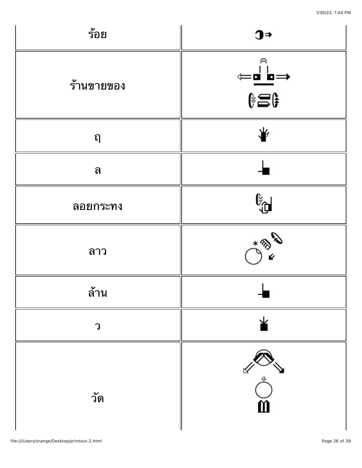| ร้อย              | $\textcolor{red}{\mathbf{J}}$                                                 |
|-------------------|-------------------------------------------------------------------------------|
| ร้านขายของ        | €<br>=■ ■<br>↓<br>↓ ●<br>⊄                                                    |
| $\Omega$          | ¥                                                                             |
| ิด                |                                                                               |
| ลอยกระทง          | မို့မျ                                                                        |
| ลาว               | <b>CRAN</b>                                                                   |
| ล้าน              |                                                                               |
| $\bigcap \limits$ | ⊻                                                                             |
| วัด               | $\begin{array}{c}\n\searrow \\ \searrow\n\end{array}$<br>$\breve{\mathbf{m}}$ |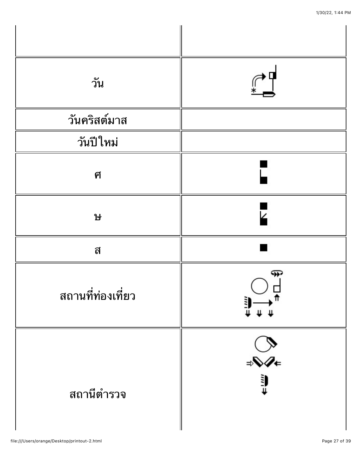| วัน               |                             |
|-------------------|-----------------------------|
| วันคริสต์มาส      |                             |
| วันปีใหม่         |                             |
| ศ                 |                             |
| <u>ዝ</u>          |                             |
| ิส                |                             |
| สถานที่ท่องเที่ยว | ⊕                           |
| สถานีตำรวจ        | $\bigotimes_{i=1}^{\infty}$ |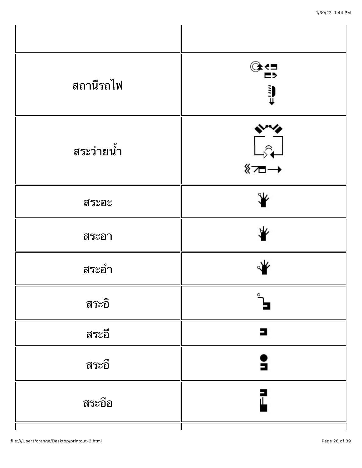| สถานีรถไฟ  | ே<br>Ų                             |
|------------|------------------------------------|
| สระว่ายน้ำ | └ <sub>₽</sub><br>← <del>△</del> ≫ |
| สระอะ      | ₩                                  |
| สระอา      | ₩                                  |
| สระอำ      |                                    |
| สระอิ      |                                    |
| สระอี      | 3                                  |
| สระอึ      |                                    |
| สระอือ     |                                    |
|            |                                    |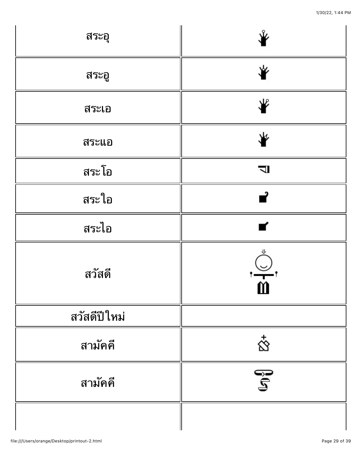| สระอุ        |                          |
|--------------|--------------------------|
| สระอู        | ₩                        |
| สระเอ        | ₩                        |
| สระแอ        |                          |
| สระโอ        | $\overline{\phantom{0}}$ |
| สระใอ        | ┙                        |
| สระไอ        | ┏                        |
| สวัสดี       | $\cong$<br>$\mathbf{m}$  |
| สวัสดีปีใหม่ |                          |
| สามัคคี      | $\vec{\infty}$           |
| สามัคคี      | $\mathbb{S}^0$           |
|              |                          |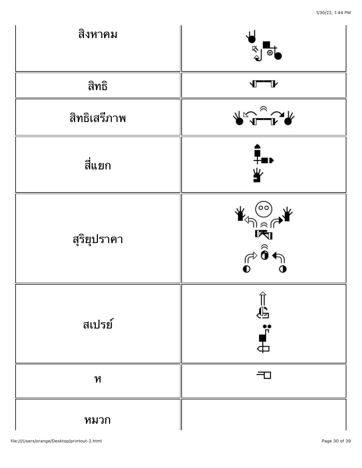| สิงหาคม      | ৡ<br>$\bullet$                                                                                                                                                                                                                                                                                                                                              |
|--------------|-------------------------------------------------------------------------------------------------------------------------------------------------------------------------------------------------------------------------------------------------------------------------------------------------------------------------------------------------------------|
| สิทธิ        |                                                                                                                                                                                                                                                                                                                                                             |
| สิทธิเสรีภาพ | $\begin{picture}(180,10) \put(0,0){\line(1,0){10}} \put(10,0){\line(1,0){10}} \put(10,0){\line(1,0){10}} \put(10,0){\line(1,0){10}} \put(10,0){\line(1,0){10}} \put(10,0){\line(1,0){10}} \put(10,0){\line(1,0){10}} \put(10,0){\line(1,0){10}} \put(10,0){\line(1,0){10}} \put(10,0){\line(1,0){10}} \put(10,0){\line(1,0){10}} \put(10,0){\line($         |
| สี่แยก       | ┋<br>╩                                                                                                                                                                                                                                                                                                                                                      |
| สุริยุปราคา  | (00)<br>$\begin{picture}(120,15) \put(0,0){\line(1,0){15}} \put(15,0){\line(1,0){15}} \put(15,0){\line(1,0){15}} \put(15,0){\line(1,0){15}} \put(15,0){\line(1,0){15}} \put(15,0){\line(1,0){15}} \put(15,0){\line(1,0){15}} \put(15,0){\line(1,0){15}} \put(15,0){\line(1,0){15}} \put(15,0){\line(1,0){15}} \put(15,0){\line(1,0){15}} \put(15,0){\line($ |
| ิสเปรย์      | =ื่<br>∎ :                                                                                                                                                                                                                                                                                                                                                  |
| ห            |                                                                                                                                                                                                                                                                                                                                                             |
| หมวก         |                                                                                                                                                                                                                                                                                                                                                             |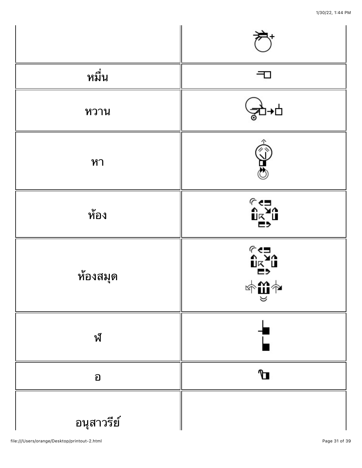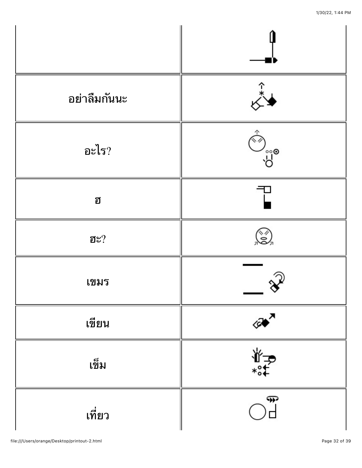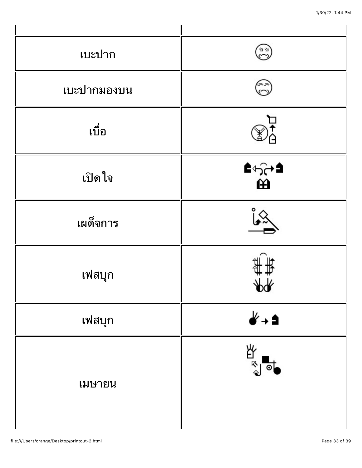| เบะปาก      | 24          |
|-------------|-------------|
| เบะปากมองบน | <b>AR</b>   |
| เบื่อ       |             |
| เปิดใจ      | ≙∻ੰ⇔≜<br>ਦੇ |
| เผด็จการ    |             |
| เฟสบุก      | ◡           |
| เฟสบุก      | է→          |
| เมษายน      | 啓           |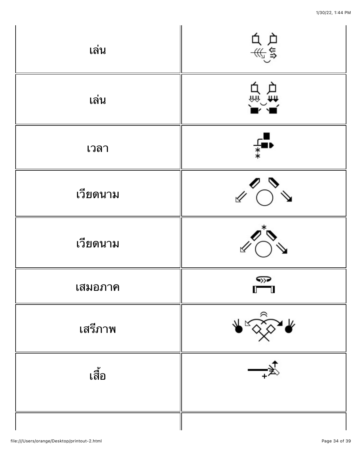| เล่น     | 白色系统            |
|----------|-----------------|
| เล่น     | 白型              |
| เวลา     |                 |
| เวียดนาม | $\triangledown$ |
| เวียดนาม |                 |
| เสมอภาค  | ∾<br>$\Gamma$   |
| เสรีภาพ  | $\blacklozenge$ |
| เลื้อ    | -≸              |
|          |                 |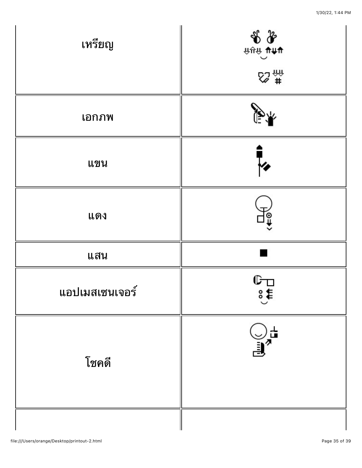| เหรียญ         | $\begin{array}{c}\n\text{1.5}\n\text{1.4}\n\text{2.4}\n\text{2.4}\n\text{3.4}\n\text{4.4}\n\text{4.4}\n\text{5.4}\n\text{5.4}\n\text{6.4}\n\text{6.4}\n\text{7.4}\n\text{8.4}\n\text{9.4}\n\text{10.4}\n\text{11.4}\n\text{12.4}\n\text{13.4}\n\text{14.4}\n\text{15.4}\n\text{16.4}\n\text{17.4}\n\text{18.4}\n\text{19.4}\n\text{10.4}\n\$ |
|----------------|----------------------------------------------------------------------------------------------------------------------------------------------------------------------------------------------------------------------------------------------------------------------------------------------------------------------------------------------|
|                |                                                                                                                                                                                                                                                                                                                                              |
| เอกภพ          |                                                                                                                                                                                                                                                                                                                                              |
| แขน            |                                                                                                                                                                                                                                                                                                                                              |
| แดง            | ၜူ                                                                                                                                                                                                                                                                                                                                           |
| แสน            |                                                                                                                                                                                                                                                                                                                                              |
| แอปเมสเซนเจอร์ | டு<br>s€                                                                                                                                                                                                                                                                                                                                     |
| โชคดี          | $\bigcup_{i=1}^{\infty} \frac{1}{i}$                                                                                                                                                                                                                                                                                                         |
|                |                                                                                                                                                                                                                                                                                                                                              |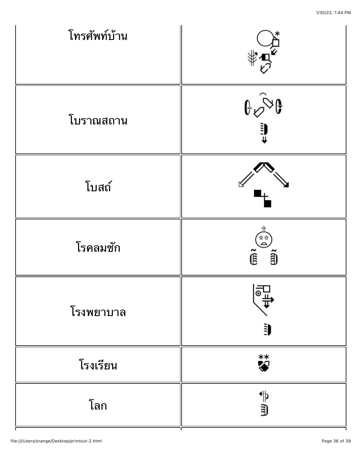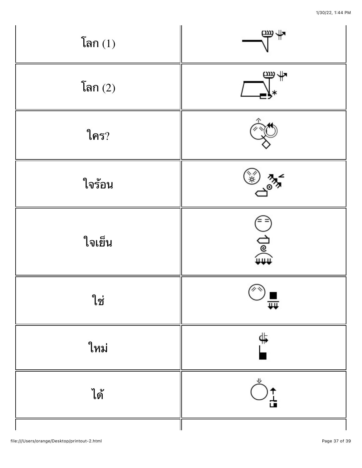| โลก $(1)$ | ሞΨ               |
|-----------|------------------|
| โลก $(2)$ | €                |
| ใคร?      |                  |
| ใจร้อน    |                  |
| ใจเย็น    | $\bar{a}$<br>∄⊚⊄ |
| ใช่       | (پر په)<br>≖     |
| ใหม่      | ∯.               |
| ได้       | )↑<br>급          |
|           |                  |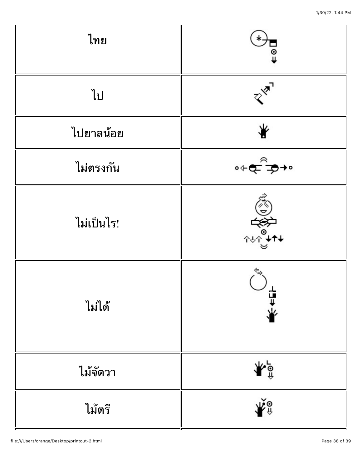| ไทย        | $\overline{0}$                                 |
|------------|------------------------------------------------|
| ไป         | $\mathbb{R}^{\mathbb{Z}^n}$                    |
| ไปยาลน้อย  | ₩                                              |
| ไม่ตรงกัน  | ৽←⊄ৢ৾ঽ                                         |
| ไม่เป็นไร! | الله المعلمية<br>المعلمية<br>المواليد          |
| ไม่ได้     | ╇╄╘┟                                           |
| ไม้จัตวา   | ≑⊚                                             |
| ไม้ตรี     | $\check{\mathbf{R}}_{\mathbf{y}}^{\mathbf{y}}$ |

ᆩ

 $\overline{\phantom{a}}$